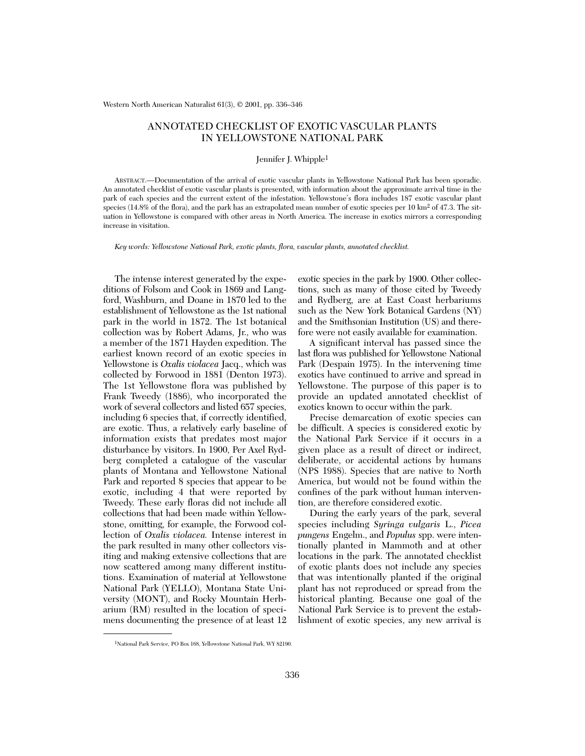Western North American Naturalist 61(3), © 2001, pp. 336–346

# ANNOTATED CHECKLIST OF EXOTIC VASCULAR PLANTS IN YELLOWSTONE NATIONAL PARK

# Jennifer J. Whipple1

ABSTRACT.—Documentation of the arrival of exotic vascular plants in Yellowstone National Park has been sporadic. An annotated checklist of exotic vascular plants is presented, with information about the approximate arrival time in the park of each species and the current extent of the infestation. Yellowstone's flora includes 187 exotic vascular plant species (14.8% of the flora), and the park has an extrapolated mean number of exotic species per 10 km<sup>2</sup> of 47.3. The situation in Yellowstone is compared with other areas in North America. The increase in exotics mirrors a corresponding increase in visitation.

*Key words: Yellowstone National Park, exotic plants, flora, vascular plants, annotated checklist.*

The intense interest generated by the expeditions of Folsom and Cook in 1869 and Langford, Washburn, and Doane in 1870 led to the establishment of Yellowstone as the 1st national park in the world in 1872. The 1st botanical collection was by Robert Adams, Jr., who was a member of the 1871 Hayden expedition. The earliest known record of an exotic species in Yellowstone is *Oxalis violacea* Jacq., which was collected by Forwood in 1881 (Denton 1973). The 1st Yellowstone flora was published by Frank Tweedy (1886), who incorporated the work of several collectors and listed 657 species, including 6 species that, if correctly identified, are exotic. Thus, a relatively early baseline of information exists that predates most major disturbance by visitors. In 1900, Per Axel Rydberg completed a catalogue of the vascular plants of Montana and Yellowstone National Park and reported 8 species that appear to be exotic, including 4 that were reported by Tweedy. These early floras did not include all collections that had been made within Yellowstone, omitting, for example, the Forwood collection of *Oxalis violacea.* Intense interest in the park resulted in many other collectors visiting and making extensive collections that are now scattered among many different institutions. Examination of material at Yellowstone National Park (YELLO), Montana State University (MONT), and Rocky Mountain Herbarium (RM) resulted in the location of specimens documenting the presence of at least 12

exotic species in the park by 1900. Other collections, such as many of those cited by Tweedy and Rydberg, are at East Coast herbariums such as the New York Botanical Gardens (NY) and the Smithsonian Institution (US) and therefore were not easily available for examination.

A significant interval has passed since the last flora was published for Yellowstone National Park (Despain 1975). In the intervening time exotics have continued to arrive and spread in Yellowstone. The purpose of this paper is to provide an updated annotated checklist of exotics known to occur within the park.

Precise demarcation of exotic species can be difficult. A species is considered exotic by the National Park Service if it occurs in a given place as a result of direct or indirect, deliberate, or accidental actions by humans (NPS 1988). Species that are native to North America, but would not be found within the confines of the park without human intervention, are therefore considered exotic.

During the early years of the park, several species including *Syringa vulgaris* L., *Picea pungens* Engelm., and *Populus* spp. were intentionally planted in Mammoth and at other locations in the park. The annotated checklist of exotic plants does not include any species that was intentionally planted if the original plant has not reproduced or spread from the historical planting. Because one goal of the National Park Service is to prevent the establishment of exotic species, any new arrival is

<sup>1</sup>National Park Service, PO Box 168, Yellowstone National Park, WY 82190.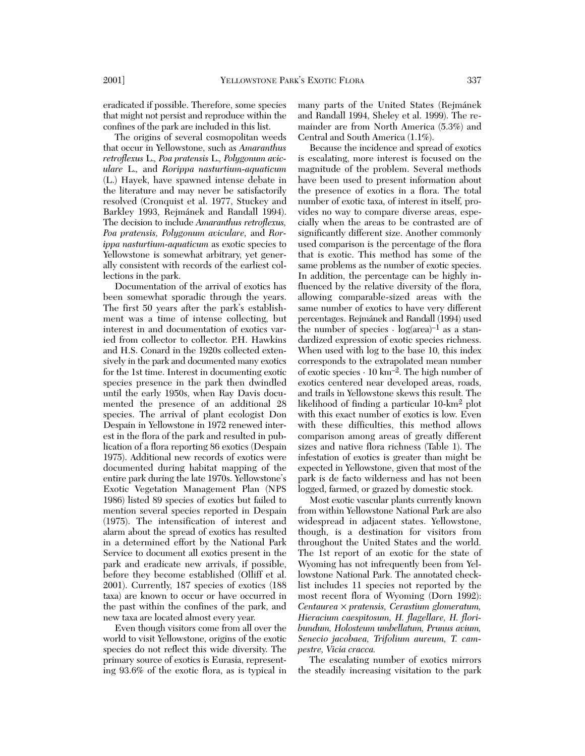eradicated if possible. Therefore, some species that might not persist and reproduce within the confines of the park are included in this list.

The origins of several cosmopolitan weeds that occur in Yellowstone, such as *Amaranthus retroflexus* L.*, Poa pratensis* L.*, Polygonum aviculare* L.*,* and *Rorippa nasturtium-aquaticum* (L.) Hayek, have spawned intense debate in the literature and may never be satisfactorily resolved (Cronquist et al. 1977, Stuckey and Barkley 1993, Rejmánek and Randall 1994). The decision to include *Amaranthus retroflexus, Poa pratensis, Polygonum aviculare,* and *Rorippa nasturtium-aquaticum* as exotic species to Yellowstone is somewhat arbitrary, yet generally consistent with records of the earliest collections in the park.

Documentation of the arrival of exotics has been somewhat sporadic through the years. The first 50 years after the park's establishment was a time of intense collecting, but interest in and documentation of exotics varied from collector to collector. P.H. Hawkins and H.S. Conard in the 1920s collected extensively in the park and documented many exotics for the 1st time. Interest in documenting exotic species presence in the park then dwindled until the early 1950s, when Ray Davis documented the presence of an additional 28 species. The arrival of plant ecologist Don Despain in Yellowstone in 1972 renewed interest in the flora of the park and resulted in publication of a flora reporting 86 exotics (Despain 1975). Additional new records of exotics were documented during habitat mapping of the entire park during the late 1970s. Yellowstone's Exotic Vegetation Management Plan (NPS 1986) listed 89 species of exotics but failed to mention several species reported in Despain (1975). The intensification of interest and alarm about the spread of exotics has resulted in a determined effort by the National Park Service to document all exotics present in the park and eradicate new arrivals, if possible, before they become established (Olliff et al. 2001). Currently, 187 species of exotics (188 taxa) are known to occur or have occurred in the past within the confines of the park, and new taxa are located almost every year.

Even though visitors come from all over the world to visit Yellowstone, origins of the exotic species do not reflect this wide diversity. The primary source of exotics is Eurasia, representing 93.6% of the exotic flora, as is typical in many parts of the United States (Rejmánek and Randall 1994, Sheley et al. 1999). The remainder are from North America (5.3%) and Central and South America (1.1%).

Because the incidence and spread of exotics is escalating, more interest is focused on the magnitude of the problem. Several methods have been used to present information about the presence of exotics in a flora. The total number of exotic taxa, of interest in itself, provides no way to compare diverse areas, especially when the areas to be contrasted are of significantly different size. Another commonly used comparison is the percentage of the flora that is exotic. This method has some of the same problems as the number of exotic species. In addition, the percentage can be highly influenced by the relative diversity of the flora, allowing comparable-sized areas with the same number of exotics to have very different percentages. Rejmánek and Randall (1994) used the number of species  $\cdot \log(\text{area})^{-1}$  as a standardized expression of exotic species richness. When used with log to the base 10, this index corresponds to the extrapolated mean number of exotic species ⋅ 10 km–2. The high number of exotics centered near developed areas, roads, and trails in Yellowstone skews this result. The likelihood of finding a particular 10-km2 plot with this exact number of exotics is low. Even with these difficulties, this method allows comparison among areas of greatly different sizes and native flora richness (Table 1). The infestation of exotics is greater than might be expected in Yellowstone, given that most of the park is de facto wilderness and has not been logged, farmed, or grazed by domestic stock.

Most exotic vascular plants currently known from within Yellowstone National Park are also widespread in adjacent states. Yellowstone, though, is a destination for visitors from throughout the United States and the world. The 1st report of an exotic for the state of Wyoming has not infrequently been from Yellowstone National Park. The annotated checklist includes 11 species not reported by the most recent flora of Wyoming (Dorn 1992): *Centaurea* × *pratensis, Cerastium glomeratum, Hieracium caespitosum, H. flagellare, H. floribundum, Holosteum umbellatum, Prunus avium, Senecio jacobaea, Trifolium aureum, T. campestre, Vicia cracca.*

The escalating number of exotics mirrors the steadily increasing visitation to the park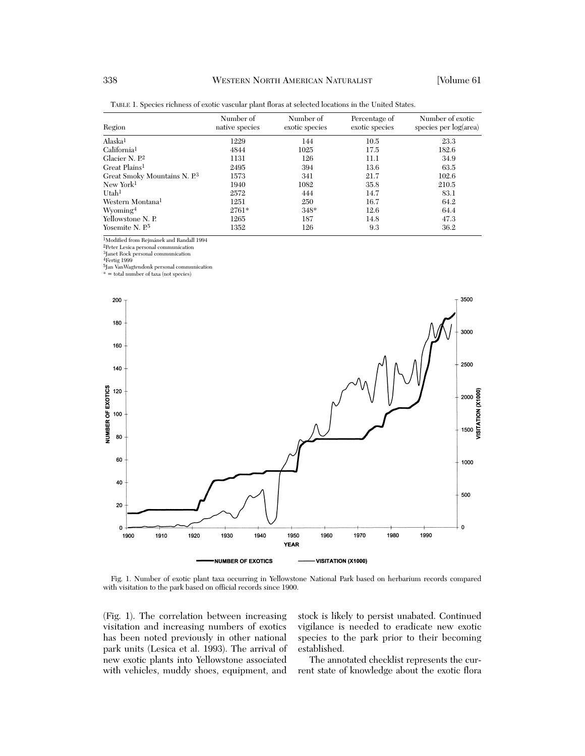| Region                                   | Number of<br>native species | Number of<br>exotic species | Percentage of<br>exotic species | Number of exotic<br>species per log(area) |
|------------------------------------------|-----------------------------|-----------------------------|---------------------------------|-------------------------------------------|
| Alaska <sup>1</sup>                      | 1229                        | 144                         | 10.5                            | 23.3                                      |
| California <sup>1</sup>                  | 4844                        | 1025                        | 17.5                            | 182.6                                     |
| Glacier N. P. <sup>2</sup>               | 1131                        | 126                         | 11.1                            | 34.9                                      |
| Great Plains <sup>1</sup>                | 2495                        | 394                         | 13.6                            | 63.5                                      |
| Great Smoky Mountains N. P. <sup>3</sup> | 1573                        | 341                         | 21.7                            | 102.6                                     |
| New York <sup>1</sup>                    | 1940                        | 1082                        | 35.8                            | 210.5                                     |
| Utah <sup>1</sup>                        | 2572                        | 444                         | 14.7                            | 83.1                                      |
| Western Montana <sup>1</sup>             | 1251                        | 250                         | 16.7                            | 64.2                                      |
| Wyoming <sup>4</sup>                     | $2761*$                     | $348*$                      | 12.6                            | 64.4                                      |
| Yellowstone N. P.                        | 1265                        | 187                         | 14.8                            | 47.3                                      |
| Yosemite N. P <sup>5</sup>               | 1352                        | 126                         | 9.3                             | 36.2                                      |

TABLE 1. Species richness of exotic vascular plant floras at selected locations in the United States.

1Modified from Rejmánek and Randall 1994

2Peter Lesica personal communication

3Janet Rock personal communication

4Fertig 1999

5Jan VanWagtendonk personal communication \* = total number of taxa (not species)



Fig. 1. Number of exotic plant taxa occurring in Yellowstone National Park based on herbarium records compared with visitation to the park based on official records since 1900.

(Fig. 1). The correlation between increasing visitation and increasing numbers of exotics has been noted previously in other national park units (Lesica et al. 1993). The arrival of new exotic plants into Yellowstone associated with vehicles, muddy shoes, equipment, and

stock is likely to persist unabated. Continued vigilance is needed to eradicate new exotic species to the park prior to their becoming established.

The annotated checklist represents the current state of knowledge about the exotic flora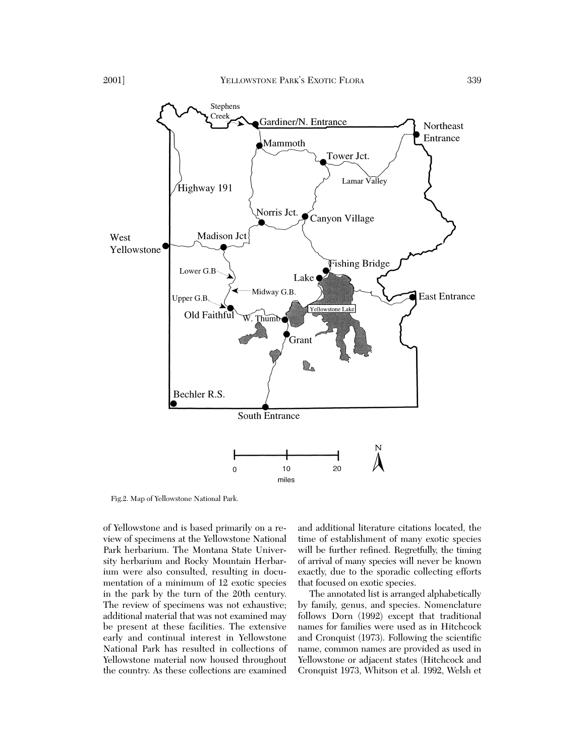

Fig.2. Map of Yellowstone National Park.

of Yellowstone and is based primarily on a review of specimens at the Yellowstone National Park herbarium. The Montana State University herbarium and Rocky Mountain Herbarium were also consulted, resulting in documentation of a minimum of 12 exotic species in the park by the turn of the 20th century. The review of specimens was not exhaustive; additional material that was not examined may be present at these facilities. The extensive early and continual interest in Yellowstone National Park has resulted in collections of Yellowstone material now housed throughout the country. As these collections are examined and additional literature citations located, the time of establishment of many exotic species will be further refined. Regretfully, the timing of arrival of many species will never be known exactly, due to the sporadic collecting efforts that focused on exotic species.

The annotated list is arranged alphabetically by family, genus, and species. Nomenclature follows Dorn (1992) except that traditional names for families were used as in Hitchcock and Cronquist (1973). Following the scientific name, common names are provided as used in Yellowstone or adjacent states (Hitchcock and Cronquist 1973, Whitson et al. 1992, Welsh et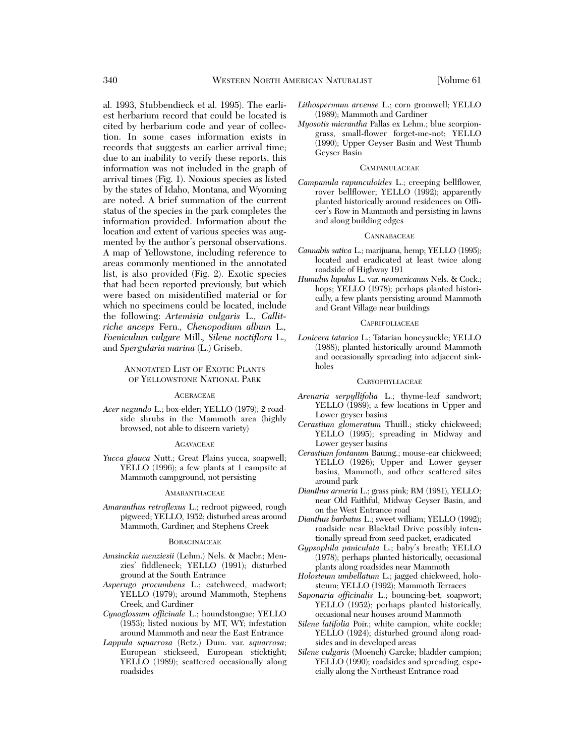al. 1993, Stubbendieck et al. 1995). The earliest herbarium record that could be located is cited by herbarium code and year of collection. In some cases information exists in records that suggests an earlier arrival time; due to an inability to verify these reports, this information was not included in the graph of arrival times (Fig. 1). Noxious species as listed by the states of Idaho, Montana, and Wyoming are noted. A brief summation of the current status of the species in the park completes the information provided. Information about the location and extent of various species was augmented by the author's personal observations. A map of Yellowstone, including reference to areas commonly mentioned in the annotated list, is also provided (Fig. 2). Exotic species that had been reported previously, but which were based on misidentified material or for which no specimens could be located, include the following: *Artemisia vulgaris* L.*, Callitriche anceps* Fern.*, Chenopodium album* L.*, Foeniculum vulgare* Mill.*, Silene noctiflora* L., and *Spergularia marina* (L.) Griseb.

# ANNOTATED LIST OF EXOTIC PLANTS OF YELLOWSTONE NATIONAL PARK

# ACERACEAE

*Acer negundo* L.; box-elder; YELLO (1979); 2 roadside shrubs in the Mammoth area (highly browsed, not able to discern variety)

#### **AGAVACEAE**

*Yucca glauca* Nutt.; Great Plains yucca, soapwell; YELLO (1996); a few plants at 1 campsite at Mammoth campground, not persisting

### **AMARANTHACEAE**

*Amaranthus retroflexus* L.; redroot pigweed, rough pigweed; YELLO, 1952; disturbed areas around Mammoth, Gardiner, and Stephens Creek

# **BORAGINACEAE**

- *Amsinckia menziesii* (Lehm.) Nels. & Macbr.; Menzies' fiddleneck; YELLO (1991); disturbed ground at the South Entrance
- *Asperugo procumbens* L.; catchweed, madwort; YELLO (1979); around Mammoth, Stephens Creek, and Gardiner
- *Cynoglossum officinale* L.; houndstongue; YELLO (1953); listed noxious by MT, WY; infestation around Mammoth and near the East Entrance
- *Lappula squarrosa* (Retz.) Dum. var. *squarrosa*; European stickseed, European sticktight; YELLO (1989); scattered occasionally along roadsides
- *Lithospermum arvense* L.; corn gromwell; YELLO (1989); Mammoth and Gardiner
- *Myosotis micrantha* Pallas ex Lehm.; blue scorpiongrass, small-flower forget-me-not; YELLO (1990); Upper Geyser Basin and West Thumb Geyser Basin

# **CAMPANULACEAE**

*Campanula rapunculoides* L.; creeping bellflower, rover bellflower; YELLO (1992); apparently planted historically around residences on Officer's Row in Mammoth and persisting in lawns and along building edges

# **CANNABACEAE**

- *Cannabis sativa* L.; marijuana, hemp; YELLO (1995); located and eradicated at least twice along roadside of Highway 191
- *Humulus lupulus* L. var. *neomexicanus* Nels. & Cock.; hops; YELLO (1978); perhaps planted historically, a few plants persisting around Mammoth and Grant Village near buildings

# **CAPRIFOLIACEAE**

*Lonicera tatarica* L.; Tatarian honeysuckle; YELLO (1988); planted historically around Mammoth and occasionally spreading into adjacent sinkholes

## **CARYOPHYLLACEAE**

- *Arenaria serpyllifolia* L.; thyme-leaf sandwort; YELLO (1989); a few locations in Upper and Lower geyser basins
- *Cerastium glomeratum* Thuill.; sticky chickweed; YELLO (1995); spreading in Midway and Lower geyser basins
- *Cerastium fontanum* Baumg.; mouse-ear chickweed; YELLO (1926); Upper and Lower geyser basins, Mammoth, and other scattered sites around park
- *Dianthus armeria* L.; grass pink; RM (1981), YELLO; near Old Faithful, Midway Geyser Basin, and on the West Entrance road
- *Dianthus barbatus* L.; sweet william; YELLO (1992); roadside near Blacktail Drive possibly intentionally spread from seed packet, eradicated
- *Gypsophila paniculata* L.; baby's breath; YELLO (1978); perhaps planted historically, occasional plants along roadsides near Mammoth
- *Holosteum umbellatum* L.; jagged chickweed, holosteum; YELLO (1992); Mammoth Terraces
- *Saponaria officinalis* L.; bouncing-bet, soapwort; YELLO (1952); perhaps planted historically, occasional near houses around Mammoth
- *Silene latifolia* Poir.; white campion, white cockle; YELLO (1924); disturbed ground along roadsides and in developed areas
- *Silene vulgaris* (Moench) Garcke; bladder campion; YELLO (1990); roadsides and spreading, especially along the Northeast Entrance road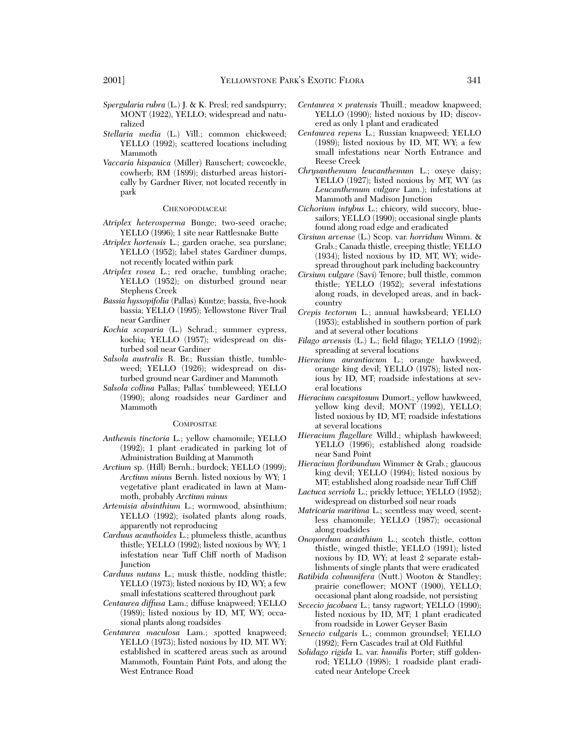- *Spergularia rubra* (L.) J. & K. Presl; red sandspurry; MONT (1922), YELLO; widespread and naturalized
- *Stellaria media* (L.) Vill.; common chickweed; YELLO (1992); scattered locations including Mammoth
- *Vaccaria hispanica* (Miller) Rauschert; cowcockle, cowherb; RM (1899); disturbed areas historically by Gardner River, not located recently in park

### **CHENOPODIACEAE**

- *Atriplex heterosperma* Bunge; two-seed orache; YELLO (1996); 1 site near Rattlesnake Butte
- *Atriplex hortensis* L.; garden orache, sea purslane; YELLO (1952); label states Gardiner dumps, not recently located within park
- *Atriplex rosea* L.; red orache, tumbling orache; YELLO (1952); on disturbed ground near Stephens Creek
- *Bassia hyssopifolia* (Pallas) Kuntze; bassia, five-hook bassia; YELLO (1995); Yellowstone River Trail near Gardiner
- *Kochia scoparia* (L.) Schrad.; summer cypress, kochia; YELLO (1957); widespread on disturbed soil near Gardiner
- *Salsola australis* R. Br.; Russian thistle, tumbleweed; YELLO (1926); widespread on disturbed ground near Gardiner and Mammoth
- *Salsola collina* Pallas; Pallas' tumbleweed; YELLO (1990); along roadsides near Gardiner and Mammoth

# **COMPOSITAE**

- *Anthemis tinctoria* L.; yellow chamomile; YELLO (1992); 1 plant eradicated in parking lot of Administration Building at Mammoth
- *Arctium* sp. (Hill) Bernh.; burdock; YELLO (1999); *Arctium minus* Bernh. listed noxious by WY; 1 vegetative plant eradicated in lawn at Mammoth, probably *Arctium minus*
- *Artemisia absinthium* L.; wormwood, absinthium; YELLO (1992); isolated plants along roads, apparently not reproducing
- *Carduus acanthoides* L.; plumeless thistle, acanthus thistle; YELLO (1992); listed noxious by WY; 1 infestation near Tuff Cliff north of Madison **Junction**
- *Carduus nutans* L.; musk thistle, nodding thistle; YELLO (1973); listed noxious by ID, WY; a few small infestations scattered throughout park
- *Centaurea diffusa* Lam.; diffuse knapweed; YELLO (1989); listed noxious by ID, MT, WY; occasional plants along roadsides
- *Centaurea maculosa* Lam.; spotted knapweed; YELLO (1973); listed noxious by ID, MT. WY; established in scattered areas such as around Mammoth, Fountain Paint Pots, and along the West Entrance Road
- *Centaurea* × *pratensis* Thuill.; meadow knapweed; YELLO (1990); listed noxious by ID; discovered as only 1 plant and eradicated
- *Centaurea repens* L.; Russian knapweed; YELLO (1989); listed noxious by ID, MT, WY; a few small infestations near North Entrance and Reese Creek
- *Chrysanthemum leucanthemum* L.; oxeye daisy; YELLO (1927); listed noxious by MT, WY (as *Leucanthemum vulgare* Lam.); infestations at Mammoth and Madison Junction
- *Cichorium intybus* L.; chicory, wild succory, bluesailors; YELLO (1990); occasional single plants found along road edge and eradicated
- *Cirsium arvense* (L.) Scop. var. *horridum* Wimm. & Grab.; Canada thistle, creeping thistle; YELLO (1934); listed noxious by ID, MT, WY; widespread throughout park including backcountry
- *Cirsium vulgare* (Savi) Tenore; bull thistle, common thistle; YELLO (1952); several infestations along roads, in developed areas, and in backcountry
- *Crepis tectorum* L.; annual hawksbeard; YELLO (1953); established in southern portion of park and at several other locations
- *Filago arvensis* (L.) L.; field filago; YELLO (1992); spreading at several locations
- *Hieracium aurantiacum* L.; orange hawkweed, orange king devil; YELLO (1978); listed noxious by ID, MT; roadside infestations at several locations
- *Hieracium caespitosum* Dumort.; yellow hawkweed, yellow king devil; MONT (1992), YELLO; listed noxious by ID, MT; roadside infestations at several locations
- *Hieracium flagellare* Willd.; whiplash hawkweed; YELLO (1996); established along roadside near Sand Point
- *Hieracium floribundum* Wimmer & Grab.; glaucous king devil; YELLO (1994); listed noxious by MT; established along roadside near Tuff Cliff
- *Lactuca serriola* L.; prickly lettuce; YELLO (1952); widespread on disturbed soil near roads
- *Matricaria maritima* L.; scentless may weed, scentless chamomile; YELLO (1987); occasional along roadsides
- *Onopordum acanthium* L.; scotch thistle, cotton thistle, winged thistle; YELLO (1991); listed noxious by ID, WY; at least 2 separate establishments of single plants that were eradicated
- *Ratibida columnifera* (Nutt.) Wooton & Standley; prairie coneflower; MONT (1900), YELLO; occasional plant along roadside, not persisting
- *Sececio jacobaea* L.; tansy ragwort; YELLO (1990); listed noxious by ID, MT; 1 plant eradicated from roadside in Lower Geyser Basin
- *Senecio vulgaris* L.; common groundsel; YELLO (1992); Fern Cascades trail at Old Faithful
- *Solidago rigida* L. var. *humilis* Porter; stiff goldenrod; YELLO (1998); 1 roadside plant eradicated near Antelope Creek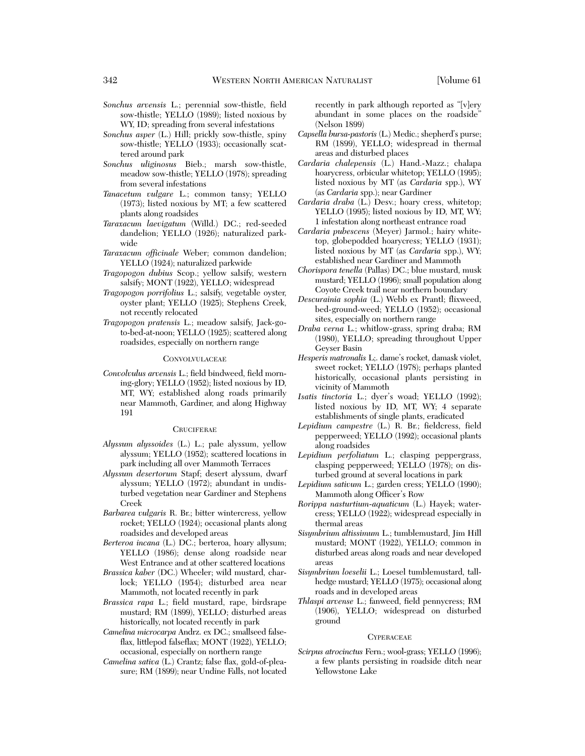- *Sonchus arvensis* L.; perennial sow-thistle, field sow-thistle; YELLO (1989); listed noxious by WY, ID; spreading from several infestations
- *Sonchus asper* (L.) Hill; prickly sow-thistle, spiny sow-thistle; YELLO (1933); occasionally scattered around park
- *Sonchus uliginosus* Bieb.; marsh sow-thistle, meadow sow-thistle; YELLO (1978); spreading from several infestations
- *Tanacetum vulgare* L.; common tansy; YELLO (1973); listed noxious by MT; a few scattered plants along roadsides
- *Taraxacum laevigatum* (Willd.) DC.; red-seeded dandelion; YELLO (1926); naturalized parkwide
- *Taraxacum officinale* Weber; common dandelion; YELLO (1924); naturalized parkwide
- *Tragopogon dubius* Scop.; yellow salsify, western salsify; MONT (1922), YELLO; widespread
- *Tragopogon porrifolius* L.; salsify, vegetable oyster, oyster plant; YELLO (1925); Stephens Creek, not recently relocated
- *Tragopogon pratensis* L.; meadow salsify, Jack-goto-bed-at-noon; YELLO (1925); scattered along roadsides, especially on northern range

# **CONVOLVULACEAE**

*Convolvulus arvensis* L.; field bindweed, field morning-glory; YELLO (1952); listed noxious by ID, MT, WY; established along roads primarily near Mammoth, Gardiner, and along Highway 191

# **CRUCIFERAE**

- *Alyssum alyssoides* (L.) L.; pale alyssum, yellow alyssum; YELLO (1952); scattered locations in park including all over Mammoth Terraces
- *Alyssum desertorum* Stapf; desert alyssum, dwarf alyssum; YELLO (1972); abundant in undisturbed vegetation near Gardiner and Stephens Creek
- *Barbarea vulgaris* R. Br.; bitter wintercress, yellow rocket; YELLO (1924); occasional plants along roadsides and developed areas
- *Berteroa incana* (L.) DC.; berteroa, hoary allysum; YELLO (1986); dense along roadside near West Entrance and at other scattered locations
- *Brassica kaber* (DC.) Wheeler; wild mustard, charlock; YELLO (1954); disturbed area near Mammoth, not located recently in park
- *Brassica rapa* L.; field mustard, rape, birdsrape mustard; RM (1899), YELLO; disturbed areas historically, not located recently in park
- *Camelina microcarpa* Andrz. ex DC.; smallseed falseflax, littlepod falseflax; MONT (1922), YELLO; occasional, especially on northern range
- *Camelina sativa* (L.) Crantz; false flax, gold-of-pleasure; RM (1899); near Undine Falls, not located

recently in park although reported as "[v]ery abundant in some places on the roadside" (Nelson 1899)

- *Capsella bursa-pastoris* (L.) Medic.; shepherd's purse; RM (1899), YELLO; widespread in thermal areas and disturbed places
- *Cardaria chalepensis* (L.) Hand.-Mazz.; chalapa hoarycress, orbicular whitetop; YELLO (1995); listed noxious by MT (as *Cardaria* spp.), WY (as *Cardaria* spp.); near Gardiner
- *Cardaria draba* (L.) Desv.; hoary cress, whitetop; YELLO (1995); listed noxious by ID, MT, WY; 1 infestation along northeast entrance road
- *Cardaria pubescens* (Meyer) Jarmol.; hairy whitetop, globepodded hoarycress; YELLO (1931); listed noxious by MT (as *Cardaria* spp.), WY; established near Gardiner and Mammoth
- *Chorispora tenella* (Pallas) DC.; blue mustard, musk mustard; YELLO (1996); small population along Coyote Creek trail near northern boundary
- *Descurainia sophia* (L.) Webb ex Prantl; flixweed, bed-ground-weed; YELLO (1952); occasional sites, especially on northern range
- *Draba verna* L.; whitlow-grass, spring draba; RM (1980), YELLO; spreading throughout Upper Geyser Basin
- *Hesperis matronalis* L;. dame's rocket, damask violet, sweet rocket; YELLO (1978); perhaps planted historically, occasional plants persisting in vicinity of Mammoth
- *Isatis tinctoria* L.; dyer's woad; YELLO (1992); listed noxious by ID, MT, WY; 4 separate establishments of single plants, eradicated
- *Lepidium campestre* (L.) R. Br.; fieldcress, field pepperweed; YELLO (1992); occasional plants along roadsides
- *Lepidium perfoliatum* L.; clasping peppergrass, clasping pepperweed; YELLO (1978); on disturbed ground at several locations in park
- *Lepidium sativum* L.; garden cress; YELLO (1990); Mammoth along Officer's Row
- *Rorippa nasturtium-aquaticum* (L.) Hayek; watercress; YELLO (1922); widespread especially in thermal areas
- *Sisymbrium altissimum* L.; tumblemustard, Jim Hill mustard; MONT (1922), YELLO; common in disturbed areas along roads and near developed areas
- *Sisymbrium loeselii* L.; Loesel tumblemustard, tallhedge mustard; YELLO (1975); occasional along roads and in developed areas
- *Thlaspi arvense* L.; fanweed, field pennycress; RM (1906), YELLO; widespread on disturbed ground

# **CYPERACEAE**

*Scirpus atrocinctus* Fern.; wool-grass; YELLO (1996); a few plants persisting in roadside ditch near Yellowstone Lake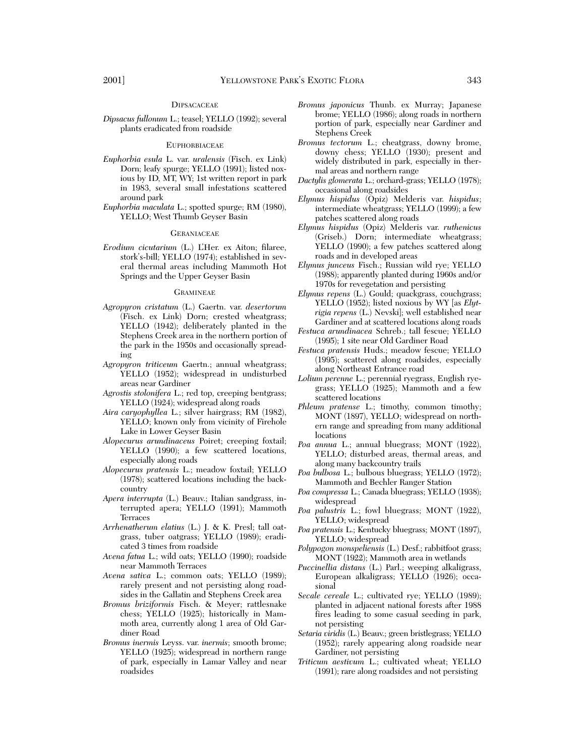*Dipsacus fullonum* L.; teasel; YELLO (1992); several plants eradicated from roadside

#### **EUPHORBIACEAE**

- *Euphorbia esula* L. var. *uralensis* (Fisch. ex Link) Dorn; leafy spurge; YELLO (1991); listed noxious by ID, MT, WY; 1st written report in park in 1983, several small infestations scattered around park
- *Euphorbia maculata* L.; spotted spurge; RM (1980), YELLO; West Thumb Geyser Basin

#### **GERANIACEAE**

*Erodium cicutarium* (L.) L'Her. ex Aiton; filaree, stork's-bill; YELLO (1974); established in several thermal areas including Mammoth Hot Springs and the Upper Geyser Basin

#### **GRAMINEAE**

- *Agropyron cristatum* (L.) Gaertn. var. *desertorum* (Fisch. ex Link) Dorn; crested wheatgrass; YELLO (1942); deliberately planted in the Stephens Creek area in the northern portion of the park in the 1950s and occasionally spreading
- *Agropyron triticeum* Gaertn.; annual wheatgrass; YELLO (1952); widespread in undisturbed areas near Gardiner
- *Agrostis stolonifera* L.; red top, creeping bentgrass; YELLO (1924); widespread along roads
- *Aira caryophyllea* L.; silver hairgrass; RM (1982), YELLO; known only from vicinity of Firehole Lake in Lower Geyser Basin
- *Alopecurus arundinaceus* Poiret; creeping foxtail; YELLO (1990); a few scattered locations, especially along roads
- *Alopecurus pratensis* L.; meadow foxtail; YELLO (1978); scattered locations including the backcountry
- *Apera interrupta* (L.) Beauv.; Italian sandgrass, interrupted apera; YELLO (1991); Mammoth Terraces
- *Arrhenatherum elatius* (L.) J. & K. Presl; tall oatgrass, tuber oatgrass; YELLO (1989); eradicated 3 times from roadside
- *Avena fatua* L.; wild oats; YELLO (1990); roadside near Mammoth Terraces
- *Avena sativa* L.; common oats; YELLO (1989); rarely present and not persisting along roadsides in the Gallatin and Stephens Creek area
- *Bromus briziformis* Fisch. & Meyer; rattlesnake chess; YELLO (1925); historically in Mammoth area, currently along 1 area of Old Gardiner Road
- *Bromus inermis* Leyss. var. *inermis*; smooth brome; YELLO (1925); widespread in northern range of park, especially in Lamar Valley and near roadsides
- *Bromus japonicus* Thunb. ex Murray; Japanese brome; YELLO (1986); along roads in northern portion of park, especially near Gardiner and Stephens Creek
- *Bromus tectorum* L.; cheatgrass, downy brome, downy chess; YELLO (1930); present and widely distributed in park, especially in thermal areas and northern range
- *Dactylis glomerata* L.; orchard-grass; YELLO (1978); occasional along roadsides
- *Elymus hispidus* (Opiz) Melderis var. *hispidus*; intermediate wheatgrass; YELLO (1999); a few patches scattered along roads
- *Elymus hispidus* (Opiz) Melderis var. *ruthenicus* (Griseb.) Dorn; intermediate wheatgrass; YELLO (1990); a few patches scattered along roads and in developed areas
- *Elymus junceus* Fisch.; Russian wild rye; YELLO (1988); apparently planted during 1960s and/or 1970s for revegetation and persisting
- *Elymus repens* (L.) Gould; quackgrass, couchgrass; YELLO (1952); listed noxious by WY [as *Elytrigia repens* (L.) Nevski]; well established near Gardiner and at scattered locations along roads
- *Festuca arundinacea* Schreb.; tall fescue; YELLO (1995); 1 site near Old Gardiner Road
- *Festuca pratensis* Huds.; meadow fescue; YELLO (1995); scattered along roadsides, especially along Northeast Entrance road
- *Lolium perenne* L.; perennial ryegrass, English ryegrass; YELLO (1925); Mammoth and a few scattered locations
- *Phleum pratense* L.; timothy, common timothy; MONT (1897), YELLO; widespread on northern range and spreading from many additional locations
- *Poa annua* L.; annual bluegrass; MONT (1922), YELLO; disturbed areas, thermal areas, and along many backcountry trails
- *Poa bulbosa* L.; bulbous bluegrass; YELLO (1972); Mammoth and Bechler Ranger Station
- *Poa compressa* L.; Canada bluegrass; YELLO (1938); widespread
- *Poa palustris* L.; fowl bluegrass; MONT (1922), YELLO; widespread
- *Poa pratensis* L.; Kentucky bluegrass; MONT (1897), YELLO; widespread
- *Polypogon monspeliensis* (L.) Desf.; rabbitfoot grass; MONT (1922); Mammoth area in wetlands
- *Puccinellia distans* (L.) Parl.; weeping alkaligrass, European alkaligrass; YELLO (1926); occasional
- *Secale cereale* L.; cultivated rye; YELLO (1989); planted in adjacent national forests after 1988 fires leading to some casual seeding in park, not persisting
- *Setaria viridis* (L.) Beauv.; green bristlegrass; YELLO (1952); rarely appearing along roadside near Gardiner, not persisting
- *Triticum aestivum* L.; cultivated wheat; YELLO (1991); rare along roadsides and not persisting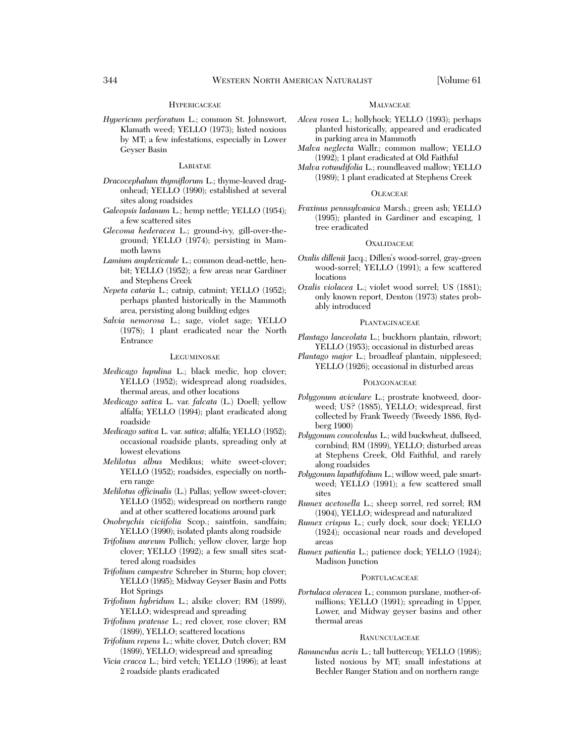# **HYPERICACEAE**

*Hypericum perforatum* L.; common St. Johnswort, Klamath weed; YELLO (1973); listed noxious by MT; a few infestations, especially in Lower Geyser Basin

# LABIATAE

- *Dracocephalum thymiflorum* L.; thyme-leaved dragonhead; YELLO (1990); established at several sites along roadsides
- *Galeopsis ladanum* L.; hemp nettle; YELLO (1954); a few scattered sites
- *Glecoma hederacea* L.; ground-ivy, gill-over-theground; YELLO (1974); persisting in Mammoth lawns
- *Lamium amplexicaule* L.; common dead-nettle, henbit; YELLO (1952); a few areas near Gardiner and Stephens Creek
- *Nepeta cataria* L.; catnip, catmint; YELLO (1952); perhaps planted historically in the Mammoth area, persisting along building edges
- *Salvia nemorosa* L.; sage, violet sage; YELLO (1978); 1 plant eradicated near the North Entrance

### **LEGUMINOSAE**

- *Medicago lupulina* L.; black medic, hop clover; YELLO (1952); widespread along roadsides, thermal areas, and other locations
- *Medicago sativa* L. var. *falcata* (L.) Doell; yellow alfalfa; YELLO (1994); plant eradicated along roadside
- *Medicago sativa* L. var. *sativa*; alfalfa; YELLO (1952); occasional roadside plants, spreading only at lowest elevations
- *Melilotus albus* Medikus; white sweet-clover; YELLO (1952); roadsides, especially on northern range
- *Melilotus officinalis* (L.) Pallas; yellow sweet-clover; YELLO (1952); widespread on northern range and at other scattered locations around park
- *Onobrychis viciifolia* Scop.; saintfoin, sandfain; YELLO (1990); isolated plants along roadside
- *Trifolium aureum* Pollich; yellow clover, large hop clover; YELLO (1992); a few small sites scattered along roadsides
- *Trifolium campestre* Schreber in Sturm; hop clover; YELLO (1995); Midway Geyser Basin and Potts Hot Springs
- *Trifolium hybridum* L.; alsike clover; RM (1899), YELLO; widespread and spreading
- *Trifolium pratense* L.; red clover, rose clover; RM (1899), YELLO; scattered locations
- *Trifolium repens* L.; white clover, Dutch clover; RM (1899), YELLO; widespread and spreading
- *Vicia cracca* L.; bird vetch; YELLO (1996); at least 2 roadside plants eradicated

### MALVACEAE

- *Alcea rosea* L.; hollyhock; YELLO (1993); perhaps planted historically, appeared and eradicated in parking area in Mammoth
- *Malva neglecta* Wallr.; common mallow; YELLO (1992); 1 plant eradicated at Old Faithful
- *Malva rotundifolia* L.; roundleaved mallow; YELLO (1989); 1 plant eradicated at Stephens Creek

# **OLEACEAE**

*Fraxinus pennsylvanica* Marsh.; green ash; YELLO (1995); planted in Gardiner and escaping, 1 tree eradicated

### **OXALIDACEAE**

- *Oxalis dillenii* Jacq.; Dillen's wood-sorrel, gray-green wood-sorrel; YELLO (1991); a few scattered locations
- *Oxalis violacea* L.; violet wood sorrel; US (1881); only known report, Denton (1973) states probably introduced

#### **PLANTAGINACEAE**

- *Plantago lanceolata* L.; buckhorn plantain, ribwort; YELLO (1953); occasional in disturbed areas
- *Plantago major* L.; broadleaf plantain, nippleseed; YELLO (1926); occasional in disturbed areas

# **POLYGONACEAE**

- *Polygonum aviculare* L.; prostrate knotweed, doorweed; US? (1885), YELLO; widespread, first collected by Frank Tweedy (Tweedy 1886, Rydberg 1900)
- *Polygonum convolvulus* L.; wild buckwheat, dullseed, cornbind; RM (1899), YELLO; disturbed areas at Stephens Creek, Old Faithful, and rarely along roadsides
- *Polygonum lapathifolium* L.; willow weed, pale smartweed; YELLO (1991); a few scattered small sites
- *Rumex acetosella* L.; sheep sorrel, red sorrel; RM (1904), YELLO; widespread and naturalized
- *Rumex crispus* L.; curly dock, sour dock; YELLO (1924); occasional near roads and developed areas
- *Rumex patientia* L.; patience dock; YELLO (1924); Madison Junction

### **PORTULACACEAE**

*Portulaca oleracea* L.; common purslane, mother-ofmillions; YELLO (1991); spreading in Upper, Lower, and Midway geyser basins and other thermal areas

# **RANUNCULACEAE**

*Ranunculus acris* L.; tall buttercup; YELLO (1998); listed noxious by MT; small infestations at Bechler Ranger Station and on northern range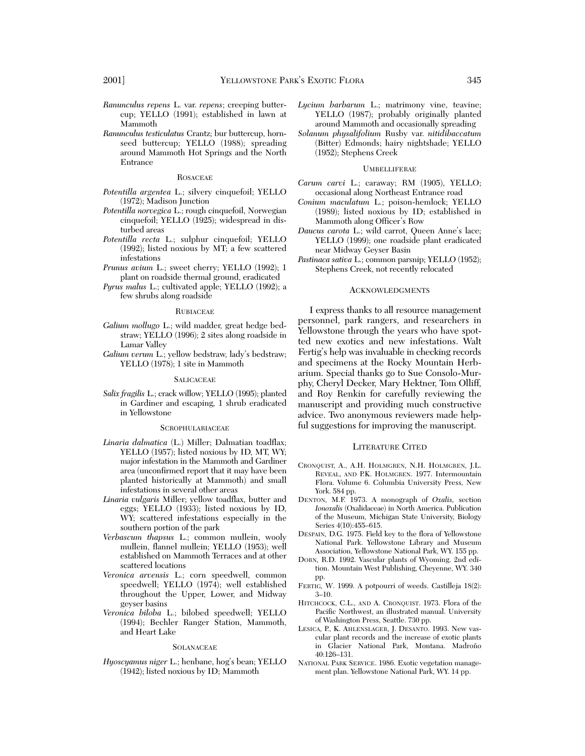- *Ranunculus repens* L. var. *repens*; creeping buttercup; YELLO (1991); established in lawn at Mammoth
- *Ranunculus testiculatus* Crantz; bur buttercup, hornseed buttercup; YELLO (1988); spreading around Mammoth Hot Springs and the North Entrance

# ROSACEAE

- *Potentilla argentea* L.; silvery cinquefoil; YELLO (1972); Madison Junction
- *Potentilla norvegica* L.; rough cinquefoil, Norwegian cinquefoil; YELLO (1925); widespread in disturbed areas
- *Potentilla recta* L.; sulphur cinquefoil; YELLO (1992); listed noxious by MT; a few scattered infestations
- *Prunus avium* L.; sweet cherry; YELLO (1992); 1 plant on roadside thermal ground, eradicated
- *Pyrus malus* L.; cultivated apple; YELLO (1992); a few shrubs along roadside

#### RUBIACEAE

- *Galium mollugo* L.; wild madder, great hedge bedstraw; YELLO (1996); 2 sites along roadside in Lamar Valley
- *Galium verum* L.; yellow bedstraw, lady's bedstraw; YELLO (1978); 1 site in Mammoth

#### **SALICACEAE**

*Salix fragilis* L.; crack willow; YELLO (1995); planted in Gardiner and escaping, 1 shrub eradicated in Yellowstone

#### SCROPHULARIACEAE

- *Linaria dalmatica* (L.) Miller; Dalmatian toadflax; YELLO (1957); listed noxious by ID, MT, WY; major infestation in the Mammoth and Gardiner area (unconfirmed report that it may have been planted historically at Mammoth) and small infestations in several other areas
- *Linaria vulgaris* Miller; yellow toadflax, butter and eggs; YELLO (1933); listed noxious by ID, WY; scattered infestations especially in the southern portion of the park
- *Verbascum thapsus* L.; common mullein, wooly mullein, flannel mullein; YELLO (1953); well established on Mammoth Terraces and at other scattered locations
- *Veronica arvensis* L.; corn speedwell, common speedwell; YELLO (1974); well established throughout the Upper, Lower, and Midway geyser basins
- *Veronica biloba* L.; bilobed speedwell; YELLO (1994); Bechler Ranger Station, Mammoth, and Heart Lake

### **SOLANACEAE**

*Hyoscyamus niger* L.; henbane, hog's bean; YELLO (1942); listed noxious by ID; Mammoth

- *Lycium barbarum* L.; matrimony vine, teavine; YELLO (1987); probably originally planted around Mammoth and occasionally spreading
- *Solanum physalifolium* Rusby var. *nitidibaccatum* (Bitter) Edmonds; hairy nightshade; YELLO (1952); Stephens Creek

# UMBELLIFERAE

- *Carum carvi* L.; caraway; RM (1905), YELLO; occasional along Northeast Entrance road
- *Conium maculatum* L.; poison-hemlock; YELLO (1989); listed noxious by ID; established in Mammoth along Officer's Row
- *Daucus carota* L.; wild carrot, Queen Anne's lace; YELLO (1999); one roadside plant eradicated near Midway Geyser Basin
- *Pastinaca sativa* L.; common parsnip; YELLO (1952); Stephens Creek, not recently relocated

# ACKNOWLEDGMENTS

I express thanks to all resource management personnel, park rangers, and researchers in Yellowstone through the years who have spotted new exotics and new infestations. Walt Fertig's help was invaluable in checking records and specimens at the Rocky Mountain Herbarium. Special thanks go to Sue Consolo-Murphy, Cheryl Decker, Mary Hektner, Tom Olliff, and Roy Renkin for carefully reviewing the manuscript and providing much constructive advice. Two anonymous reviewers made helpful suggestions for improving the manuscript.

# LITERATURE CITED

- CRONQUIST, A., A.H. HOLMGREN, N.H. HOLMGREN, J.L. REVEAL, AND P.K. HOLMGREN. 1977. Intermountain Flora. Volume 6. Columbia University Press, New York. 584 pp.
- DENTON, M.F. 1973. A monograph of *Oxalis,* section *Ionoxalis* (Oxalidaceae) in North America. Publication of the Museum, Michigan State University, Biology Series 4(10):455–615.
- DESPAIN, D.G. 1975. Field key to the flora of Yellowstone National Park. Yellowstone Library and Museum Association, Yellowstone National Park, WY. 155 pp.
- DORN, R.D. 1992. Vascular plants of Wyoming. 2nd edition. Mountain West Publishing, Cheyenne, WY. 340 pp.
- FERTIG, W. 1999. A potpourri of weeds. Castilleja 18(2): 3–10.
- HITCHCOCK, C.L., AND A. CRONQUIST. 1973. Flora of the Pacific Northwest, an illustrated manual. University of Washington Press, Seattle. 730 pp.
- LESICA, P., K. AHLENSLAGER, J. DESANTO. 1993. New vascular plant records and the increase of exotic plants in Glacier National Park, Montana. Madroño 40:126–131.
- NATIONAL PARK SERVICE. 1986. Exotic vegetation management plan. Yellowstone National Park, WY. 14 pp.